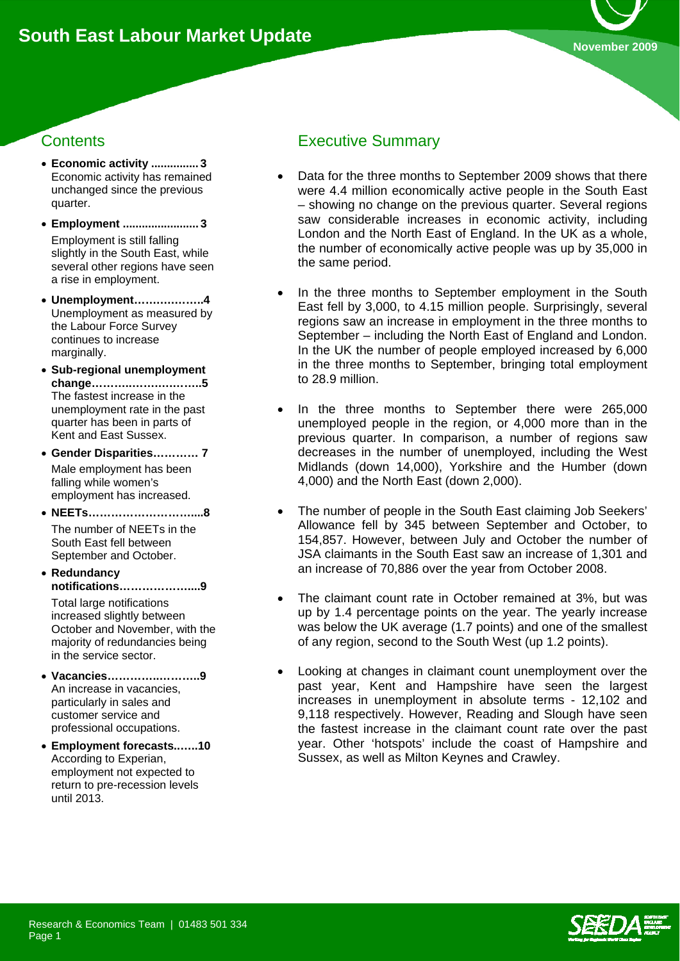

# **Contents**

- **Economic activity ............... 3**  Economic activity has remained unchanged since the previous quarter.
- **Employment ........................ 3**  Employment is still falling slightly in the South East, while several other regions have seen a rise in employment.
- **Unemployment…….….……..4**  Unemployment as measured by the Labour Force Survey continues to increase marginally.
- **Sub-regional unemployment change………..…….….……..5**  The fastest increase in the unemployment rate in the past quarter has been in parts of Kent and East Sussex.
- **Gender Disparities………… 7**  Male employment has been falling while women's employment has increased.
- **NEETs………………………....8**  The number of NEETs in the South East fell between September and October.
- **Redundancy notifications………………....9**  Total large notifications increased slightly between October and November, with the
- majority of redundancies being in the service sector. • **Vacancies…………..………..9**  An increase in vacancies,
- particularly in sales and customer service and professional occupations.
- **Employment forecasts..…..10**  According to Experian, employment not expected to return to pre-recession levels until 2013.

# Executive Summary

- Data for the three months to September 2009 shows that there were 4.4 million economically active people in the South East – showing no change on the previous quarter. Several regions saw considerable increases in economic activity, including London and the North East of England. In the UK as a whole, the number of economically active people was up by 35,000 in the same period.
- In the three months to September employment in the South East fell by 3,000, to 4.15 million people. Surprisingly, several regions saw an increase in employment in the three months to September – including the North East of England and London. In the UK the number of people employed increased by 6,000 in the three months to September, bringing total employment to 28.9 million.
- In the three months to September there were 265,000 unemployed people in the region, or 4,000 more than in the previous quarter. In comparison, a number of regions saw decreases in the number of unemployed, including the West Midlands (down 14,000), Yorkshire and the Humber (down 4,000) and the North East (down 2,000).
- The number of people in the South East claiming Job Seekers' Allowance fell by 345 between September and October, to 154,857. However, between July and October the number of JSA claimants in the South East saw an increase of 1,301 and an increase of 70,886 over the year from October 2008.
- The claimant count rate in October remained at 3%, but was up by 1.4 percentage points on the year. The yearly increase was below the UK average (1.7 points) and one of the smallest of any region, second to the South West (up 1.2 points).
- Looking at changes in claimant count unemployment over the past year, Kent and Hampshire have seen the largest increases in unemployment in absolute terms - 12,102 and 9,118 respectively. However, Reading and Slough have seen the fastest increase in the claimant count rate over the past year. Other 'hotspots' include the coast of Hampshire and Sussex, as well as Milton Keynes and Crawley.

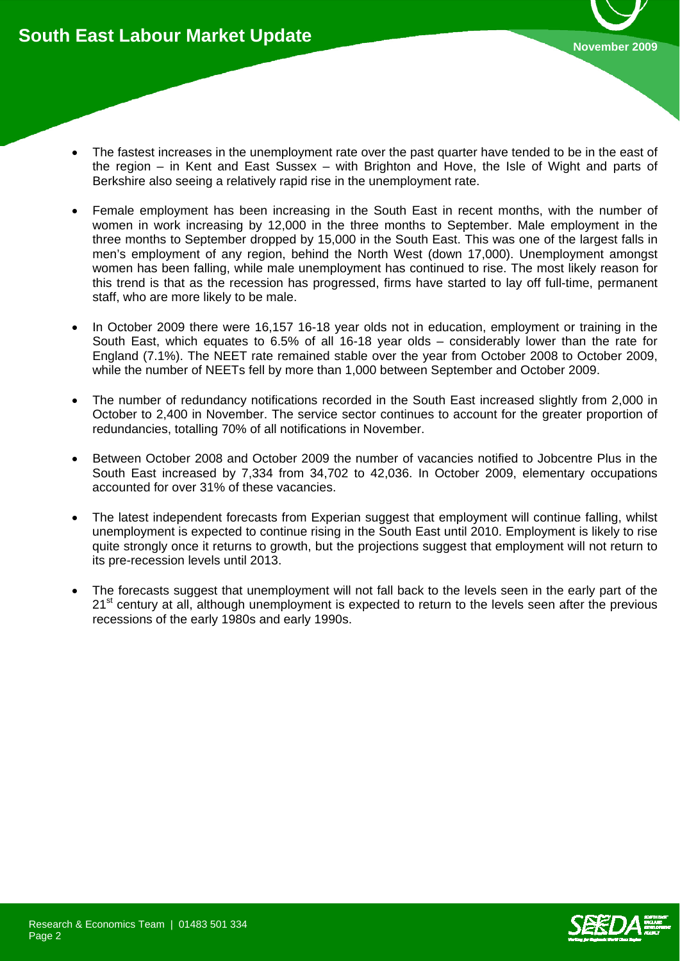- The fastest increases in the unemployment rate over the past quarter have tended to be in the east of the region – in Kent and East Sussex – with Brighton and Hove, the Isle of Wight and parts of Berkshire also seeing a relatively rapid rise in the unemployment rate.
- Female employment has been increasing in the South East in recent months, with the number of women in work increasing by 12,000 in the three months to September. Male employment in the three months to September dropped by 15,000 in the South East. This was one of the largest falls in men's employment of any region, behind the North West (down 17,000). Unemployment amongst women has been falling, while male unemployment has continued to rise. The most likely reason for this trend is that as the recession has progressed, firms have started to lay off full-time, permanent staff, who are more likely to be male.
- In October 2009 there were 16,157 16-18 year olds not in education, employment or training in the South East, which equates to 6.5% of all 16-18 year olds – considerably lower than the rate for England (7.1%). The NEET rate remained stable over the year from October 2008 to October 2009, while the number of NEETs fell by more than 1,000 between September and October 2009.
- The number of redundancy notifications recorded in the South East increased slightly from 2,000 in October to 2,400 in November. The service sector continues to account for the greater proportion of redundancies, totalling 70% of all notifications in November.
- Between October 2008 and October 2009 the number of vacancies notified to Jobcentre Plus in the South East increased by 7,334 from 34,702 to 42,036. In October 2009, elementary occupations accounted for over 31% of these vacancies.
- The latest independent forecasts from Experian suggest that employment will continue falling, whilst unemployment is expected to continue rising in the South East until 2010. Employment is likely to rise quite strongly once it returns to growth, but the projections suggest that employment will not return to its pre-recession levels until 2013.
- The forecasts suggest that unemployment will not fall back to the levels seen in the early part of the 21<sup>st</sup> century at all, although unemployment is expected to return to the levels seen after the previous recessions of the early 1980s and early 1990s.

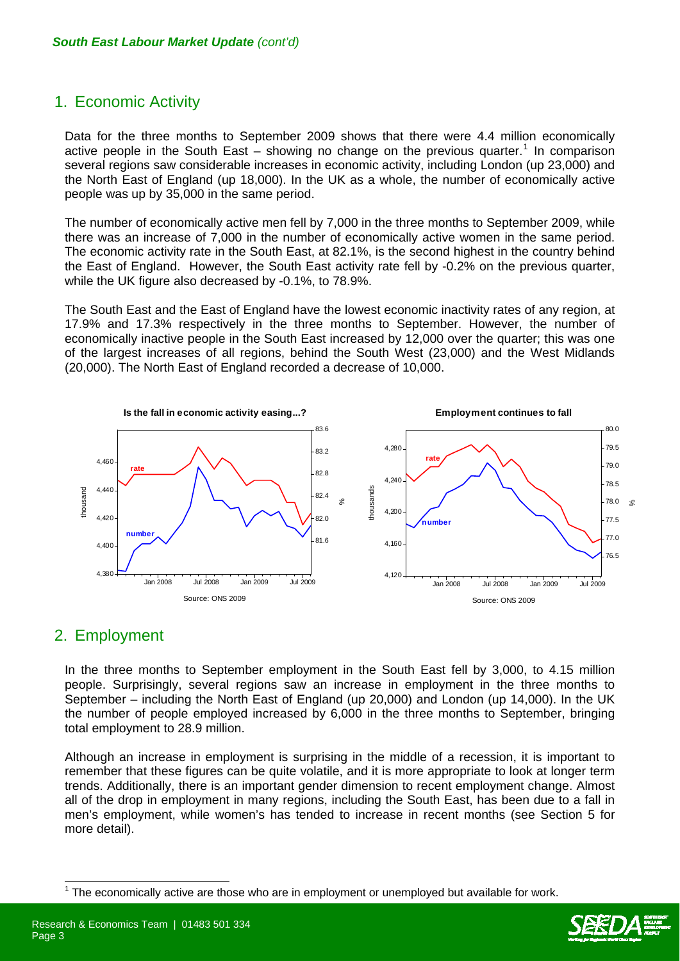# 1. Economic Activity

Data for the three months to September 2009 shows that there were 4.4 million economically active people in the South East  $-$  showing no change on the previous quarter.<sup>[1](#page-2-0)</sup> In comparison several regions saw considerable increases in economic activity, including London (up 23,000) and the North East of England (up 18,000). In the UK as a whole, the number of economically active people was up by 35,000 in the same period.

The number of economically active men fell by 7,000 in the three months to September 2009, while there was an increase of 7,000 in the number of economically active women in the same period. The economic activity rate in the South East, at 82.1%, is the second highest in the country behind the East of England. However, the South East activity rate fell by -0.2% on the previous quarter, while the UK figure also decreased by -0.1%, to 78.9%.

The South East and the East of England have the lowest economic inactivity rates of any region, at 17.9% and 17.3% respectively in the three months to September. However, the number of economically inactive people in the South East increased by 12,000 over the quarter; this was one of the largest increases of all regions, behind the South West (23,000) and the West Midlands (20,000). The North East of England recorded a decrease of 10,000.



### 2. Employment

 $\overline{\phantom{a}}$ 

In the three months to September employment in the South East fell by 3,000, to 4.15 million people. Surprisingly, several regions saw an increase in employment in the three months to September – including the North East of England (up 20,000) and London (up 14,000). In the UK the number of people employed increased by 6,000 in the three months to September, bringing total employment to 28.9 million.

Although an increase in employment is surprising in the middle of a recession, it is important to remember that these figures can be quite volatile, and it is more appropriate to look at longer term trends. Additionally, there is an important gender dimension to recent employment change. Almost all of the drop in employment in many regions, including the South East, has been due to a fall in men's employment, while women's has tended to increase in recent months (see Section 5 for more detail).



<span id="page-2-0"></span><sup>1</sup> The economically active are those who are in employment or unemployed but available for work.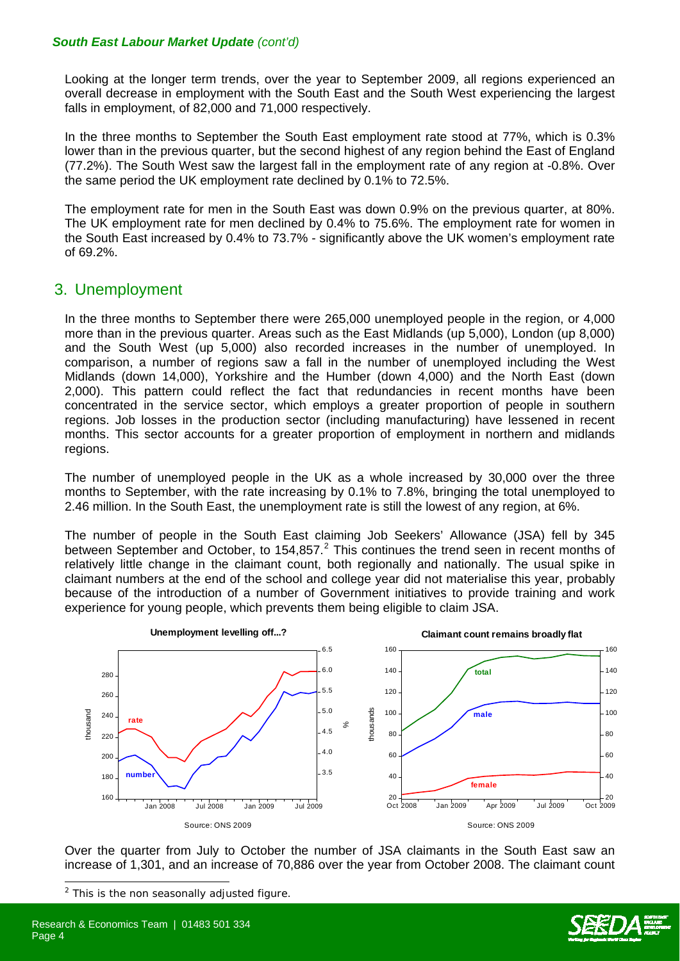Looking at the longer term trends, over the year to September 2009, all regions experienced an overall decrease in employment with the South East and the South West experiencing the largest falls in employment, of 82,000 and 71,000 respectively.

In the three months to September the South East employment rate stood at 77%, which is 0.3% lower than in the previous quarter, but the second highest of any region behind the East of England (77.2%). The South West saw the largest fall in the employment rate of any region at -0.8%. Over the same period the UK employment rate declined by 0.1% to 72.5%.

The employment rate for men in the South East was down 0.9% on the previous quarter, at 80%. The UK employment rate for men declined by 0.4% to 75.6%. The employment rate for women in the South East increased by 0.4% to 73.7% - significantly above the UK women's employment rate of 69.2%.

### 3. Unemployment

In the three months to September there were 265,000 unemployed people in the region, or 4,000 more than in the previous quarter. Areas such as the East Midlands (up 5,000), London (up 8,000) and the South West (up 5,000) also recorded increases in the number of unemployed. In comparison, a number of regions saw a fall in the number of unemployed including the West Midlands (down 14,000), Yorkshire and the Humber (down 4,000) and the North East (down 2,000). This pattern could reflect the fact that redundancies in recent months have been concentrated in the service sector, which employs a greater proportion of people in southern regions. Job losses in the production sector (including manufacturing) have lessened in recent months. This sector accounts for a greater proportion of employment in northern and midlands regions.

The number of unemployed people in the UK as a whole increased by 30,000 over the three months to September, with the rate increasing by 0.1% to 7.8%, bringing the total unemployed to 2.46 million. In the South East, the unemployment rate is still the lowest of any region, at 6%.

The number of people in the South East claiming Job Seekers' Allowance (JSA) fell by 345 between September and October, to 154,857. $^2$  $^2$  This continues the trend seen in recent months of relatively little change in the claimant count, both regionally and nationally. The usual spike in claimant numbers at the end of the school and college year did not materialise this year, probably because of the introduction of a number of Government initiatives to provide training and work experience for young people, which prevents them being eligible to claim JSA.



Over the quarter from July to October the number of JSA claimants in the South East saw an increase of 1,301, and an increase of 70,886 over the year from October 2008. The claimant count



<span id="page-3-0"></span> $2$  This is the non seasonally adjusted figure.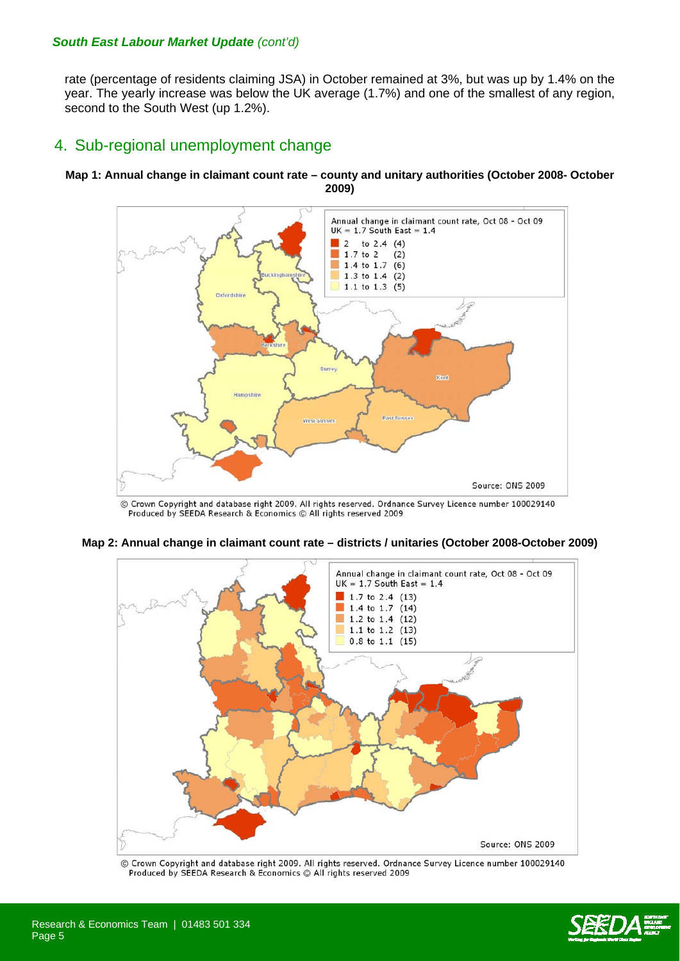rate (percentage of residents claiming JSA) in October remained at 3%, but was up by 1.4% on the year. The yearly increase was below the UK average (1.7%) and one of the smallest of any region, second to the South West (up 1.2%).

# 4. Sub-regional unemployment change

#### **Map 1: Annual change in claimant count rate – county and unitary authorities (October 2008- October 2009)**



© Crown Copyright and database right 2009. All rights reserved. Ordnance Survey Licence number 100029140 Produced by SEEDA Research & Economics © All rights reserved 2009



**Map 2: Annual change in claimant count rate – districts / unitaries (October 2008-October 2009)** 

© Crown Copyright and database right 2009. All rights reserved. Ordnance Survey Licence number 100029140 Produced by SEEDA Research & Economics @ All rights reserved 2009

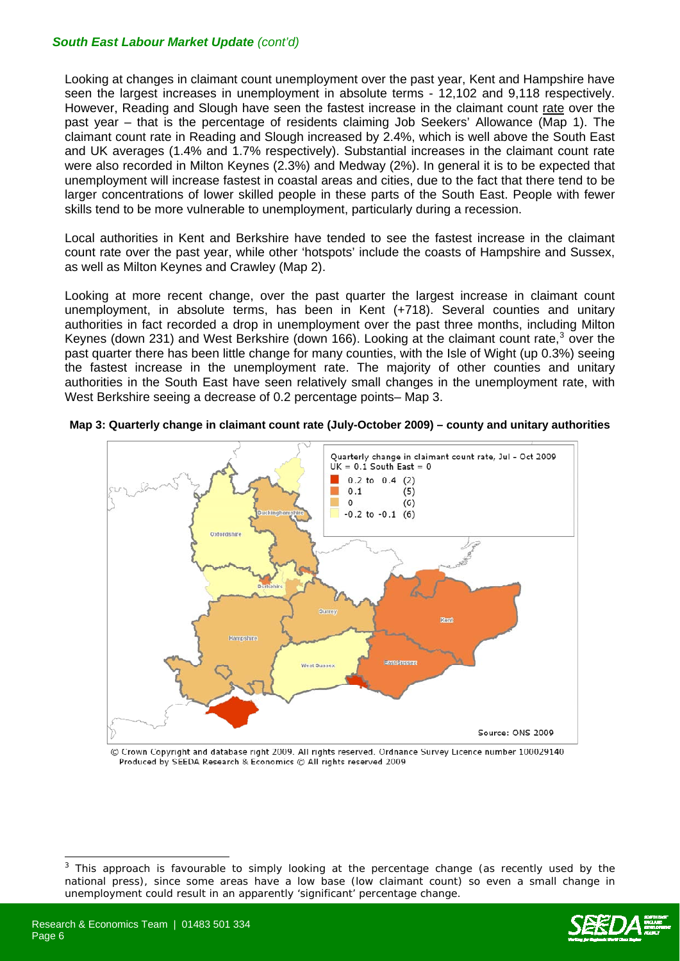Looking at changes in claimant count unemployment over the past year, Kent and Hampshire have seen the largest increases in unemployment in absolute terms - 12,102 and 9,118 respectively. However, Reading and Slough have seen the fastest increase in the claimant count rate over the past year – that is the percentage of residents claiming Job Seekers' Allowance (Map 1). The claimant count rate in Reading and Slough increased by 2.4%, which is well above the South East and UK averages (1.4% and 1.7% respectively). Substantial increases in the claimant count rate were also recorded in Milton Keynes (2.3%) and Medway (2%). In general it is to be expected that unemployment will increase fastest in coastal areas and cities, due to the fact that there tend to be larger concentrations of lower skilled people in these parts of the South East. People with fewer skills tend to be more vulnerable to unemployment, particularly during a recession.

Local authorities in Kent and Berkshire have tended to see the fastest increase in the claimant count rate over the past year, while other 'hotspots' include the coasts of Hampshire and Sussex, as well as Milton Keynes and Crawley (Map 2).

Looking at more recent change, over the past quarter the largest increase in claimant count unemployment, in absolute terms, has been in Kent (+718). Several counties and unitary authorities in fact recorded a drop in unemployment over the past three months, including Milton Keynes (down 2[3](#page-5-0)1) and West Berkshire (down 166). Looking at the claimant count rate,<sup>3</sup> over the past quarter there has been little change for many counties, with the Isle of Wight (up 0.3%) seeing the fastest increase in the unemployment rate. The majority of other counties and unitary authorities in the South East have seen relatively small changes in the unemployment rate, with West Berkshire seeing a decrease of 0.2 percentage points– Map 3.



**Map 3: Quarterly change in claimant count rate (July-October 2009) – county and unitary authorities** 

© Crown Copyright and database right 2009. All rights reserved. Ordnance Survey Licence number 100029140 Produced by SEEDA Research & Economics @ All rights reserved 2009

 $\overline{a}$ 



<span id="page-5-0"></span><sup>3</sup> This approach is favourable to simply looking at the percentage change (as recently used by the national press), since some areas have a low base (low claimant count) so even a small change in unemployment could result in an apparently 'significant' percentage change.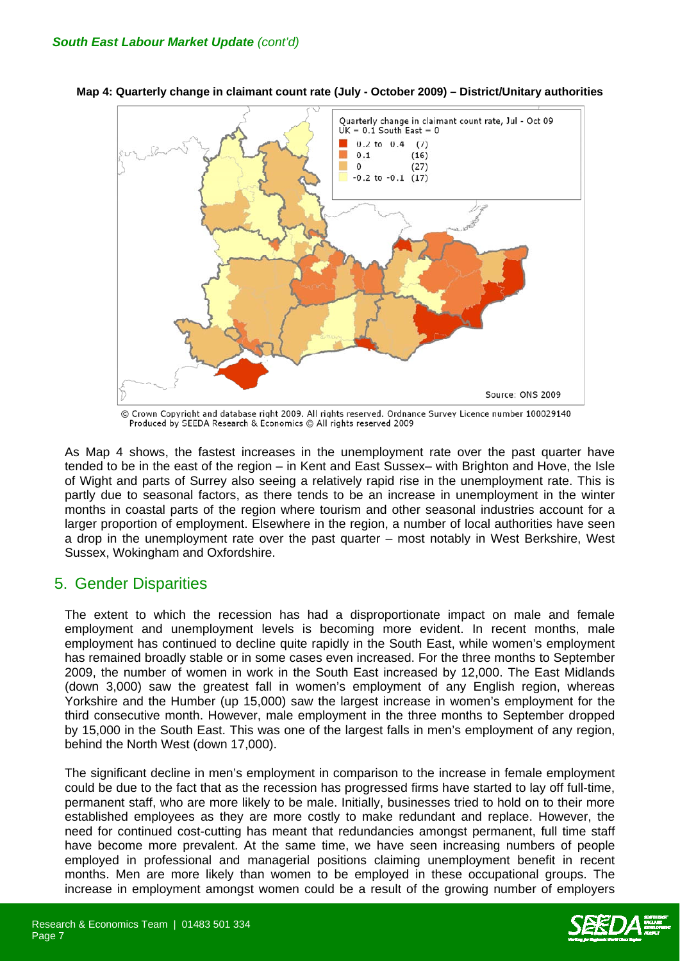

**Map 4: Quarterly change in claimant count rate (July - October 2009) – District/Unitary authorities**

© Crown Copyright and database right 2009. All rights reserved. Ordnance Survey Licence number 100029140 Produced by SEEDA Research & Economics @ All rights reserved 2009

As Map 4 shows, the fastest increases in the unemployment rate over the past quarter have tended to be in the east of the region – in Kent and East Sussex– with Brighton and Hove, the Isle of Wight and parts of Surrey also seeing a relatively rapid rise in the unemployment rate. This is partly due to seasonal factors, as there tends to be an increase in unemployment in the winter months in coastal parts of the region where tourism and other seasonal industries account for a larger proportion of employment. Elsewhere in the region, a number of local authorities have seen a drop in the unemployment rate over the past quarter – most notably in West Berkshire, West Sussex, Wokingham and Oxfordshire.

### 5. Gender Disparities

The extent to which the recession has had a disproportionate impact on male and female employment and unemployment levels is becoming more evident. In recent months, male employment has continued to decline quite rapidly in the South East, while women's employment has remained broadly stable or in some cases even increased. For the three months to September 2009, the number of women in work in the South East increased by 12,000. The East Midlands (down 3,000) saw the greatest fall in women's employment of any English region, whereas Yorkshire and the Humber (up 15,000) saw the largest increase in women's employment for the third consecutive month. However, male employment in the three months to September dropped by 15,000 in the South East. This was one of the largest falls in men's employment of any region, behind the North West (down 17,000).

The significant decline in men's employment in comparison to the increase in female employment could be due to the fact that as the recession has progressed firms have started to lay off full-time, permanent staff, who are more likely to be male. Initially, businesses tried to hold on to their more established employees as they are more costly to make redundant and replace. However, the need for continued cost-cutting has meant that redundancies amongst permanent, full time staff have become more prevalent. At the same time, we have seen increasing numbers of people employed in professional and managerial positions claiming unemployment benefit in recent months. Men are more likely than women to be employed in these occupational groups. The increase in employment amongst women could be a result of the growing number of employers

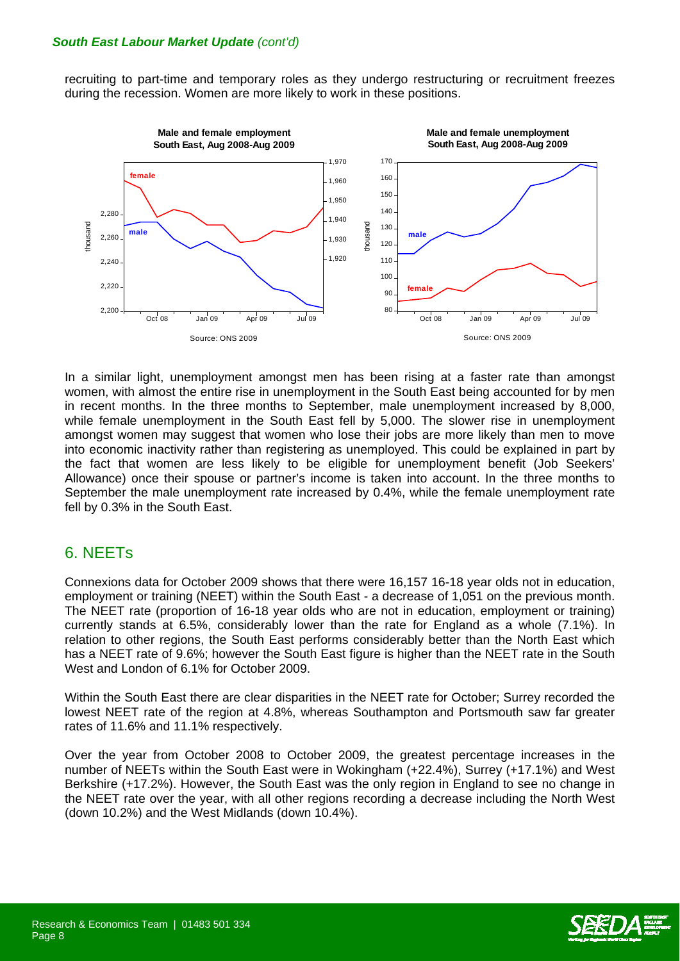recruiting to part-time and temporary roles as they undergo restructuring or recruitment freezes during the recession. Women are more likely to work in these positions.



In a similar light, unemployment amongst men has been rising at a faster rate than amongst women, with almost the entire rise in unemployment in the South East being accounted for by men in recent months. In the three months to September, male unemployment increased by 8,000, while female unemployment in the South East fell by 5,000. The slower rise in unemployment amongst women may suggest that women who lose their jobs are more likely than men to move into economic inactivity rather than registering as unemployed. This could be explained in part by the fact that women are less likely to be eligible for unemployment benefit (Job Seekers' Allowance) once their spouse or partner's income is taken into account. In the three months to September the male unemployment rate increased by 0.4%, while the female unemployment rate fell by 0.3% in the South East.

### 6. NEETs

Connexions data for October 2009 shows that there were 16,157 16-18 year olds not in education, employment or training (NEET) within the South East - a decrease of 1,051 on the previous month. The NEET rate (proportion of 16-18 year olds who are not in education, employment or training) currently stands at 6.5%, considerably lower than the rate for England as a whole (7.1%). In relation to other regions, the South East performs considerably better than the North East which has a NEET rate of 9.6%; however the South East figure is higher than the NEET rate in the South West and London of 6.1% for October 2009.

Within the South East there are clear disparities in the NEET rate for October; Surrey recorded the lowest NEET rate of the region at 4.8%, whereas Southampton and Portsmouth saw far greater rates of 11.6% and 11.1% respectively.

Over the year from October 2008 to October 2009, the greatest percentage increases in the number of NEETs within the South East were in Wokingham (+22.4%), Surrey (+17.1%) and West Berkshire (+17.2%). However, the South East was the only region in England to see no change in the NEET rate over the year, with all other regions recording a decrease including the North West (down 10.2%) and the West Midlands (down 10.4%).

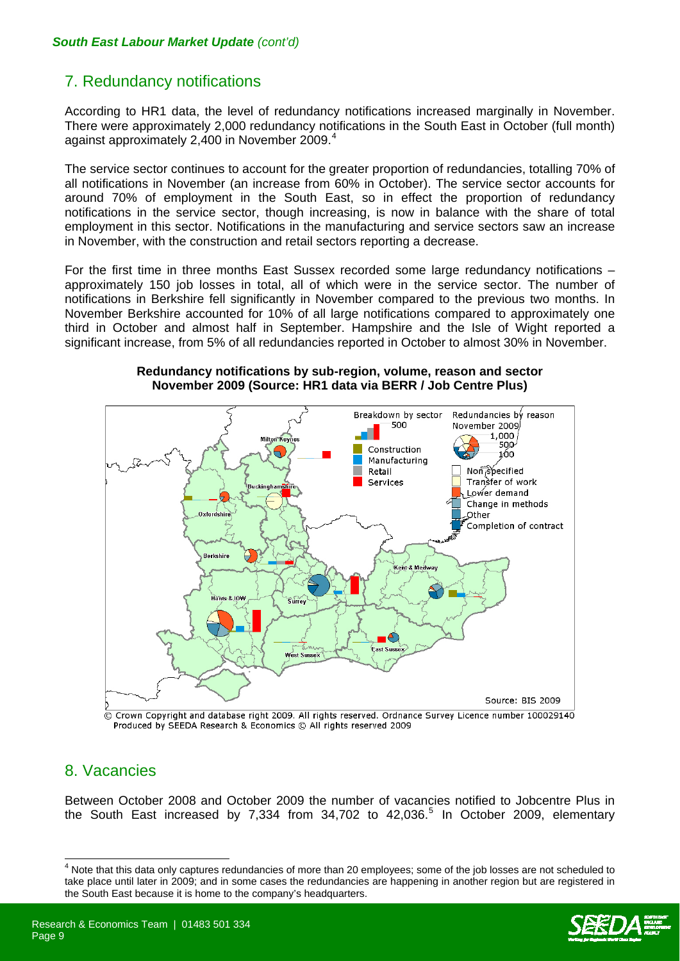# 7. Redundancy notifications

According to HR1 data, the level of redundancy notifications increased marginally in November. There were approximately 2,000 redundancy notifications in the South East in October (full month) against approximately 2,[4](#page-8-0)00 in November 2009.<sup>4</sup>

The service sector continues to account for the greater proportion of redundancies, totalling 70% of all notifications in November (an increase from 60% in October). The service sector accounts for around 70% of employment in the South East, so in effect the proportion of redundancy notifications in the service sector, though increasing, is now in balance with the share of total employment in this sector. Notifications in the manufacturing and service sectors saw an increase in November, with the construction and retail sectors reporting a decrease.

For the first time in three months East Sussex recorded some large redundancy notifications – approximately 150 job losses in total, all of which were in the service sector. The number of notifications in Berkshire fell significantly in November compared to the previous two months. In November Berkshire accounted for 10% of all large notifications compared to approximately one third in October and almost half in September. Hampshire and the Isle of Wight reported a significant increase, from 5% of all redundancies reported in October to almost 30% in November.



**Redundancy notifications by sub-region, volume, reason and sector November 2009 (Source: HR1 data via BERR / Job Centre Plus)** 

 $\circledcirc$  Crown Copyright and database right 2009. All rights reserved. Ordnance Survey Licence number 100029140 Produced by SEEDA Research & Economics © All rights reserved 2009

### 8. Vacancies

 $\overline{\phantom{a}}$ 

Between October 2008 and October 2009 the number of vacancies notified to Jobcentre Plus in the South East increased by 7,334 from  $34,702$  to  $42,036$ .<sup>[5](#page-8-0)</sup> In October 2009, elementary

<span id="page-8-0"></span><sup>&</sup>lt;sup>4</sup> Note that this data only captures redundancies of more than 20 employees; some of the job losses are not scheduled to take place until later in 2009; and in some cases the redundancies are happening in another region but are registered in the South East because it is home to the company's headquarters.

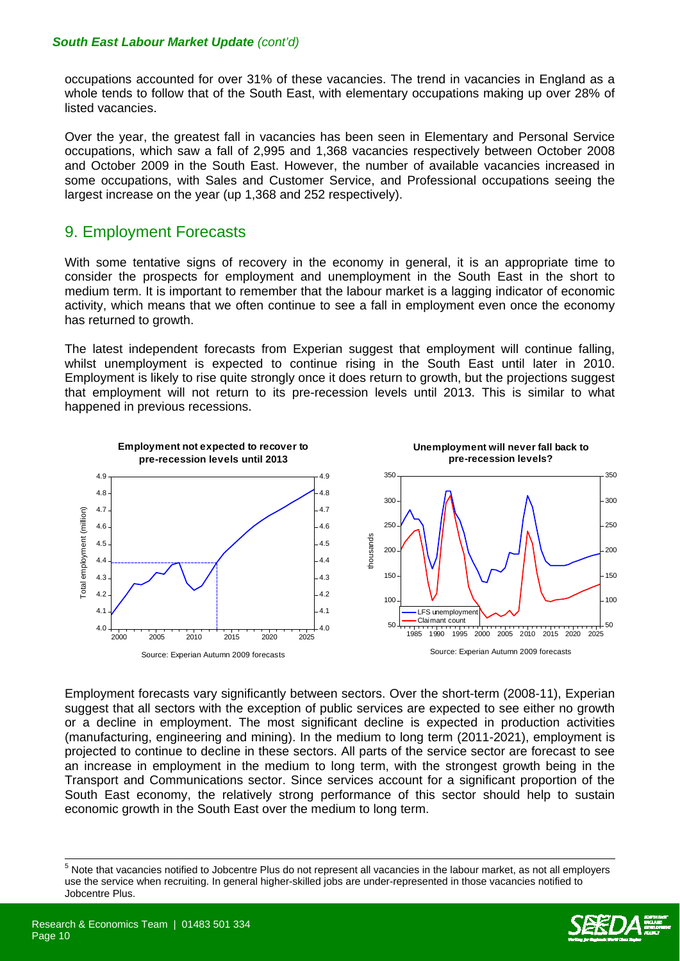occupations accounted for over 31% of these vacancies. The trend in vacancies in England as a whole tends to follow that of the South East, with elementary occupations making up over 28% of listed vacancies.

Over the year, the greatest fall in vacancies has been seen in Elementary and Personal Service occupations, which saw a fall of 2,995 and 1,368 vacancies respectively between October 2008 and October 2009 in the South East. However, the number of available vacancies increased in some occupations, with Sales and Customer Service, and Professional occupations seeing the largest increase on the year (up 1,368 and 252 respectively).

### 9. Employment Forecasts

With some tentative signs of recovery in the economy in general, it is an appropriate time to consider the prospects for employment and unemployment in the South East in the short to medium term. It is important to remember that the labour market is a lagging indicator of economic activity, which means that we often continue to see a fall in employment even once the economy has returned to growth.

The latest independent forecasts from Experian suggest that employment will continue falling, whilst unemployment is expected to continue rising in the South East until later in 2010. Employment is likely to rise quite strongly once it does return to growth, but the projections suggest that employment will not return to its pre-recession levels until 2013. This is similar to what happened in previous recessions.



Employment forecasts vary significantly between sectors. Over the short-term (2008-11), Experian suggest that all sectors with the exception of public services are expected to see either no growth or a decline in employment. The most significant decline is expected in production activities (manufacturing, engineering and mining). In the medium to long term (2011-2021), employment is projected to continue to decline in these sectors. All parts of the service sector are forecast to see an increase in employment in the medium to long term, with the strongest growth being in the Transport and Communications sector. Since services account for a significant proportion of the South East economy, the relatively strong performance of this sector should help to sustain economic growth in the South East over the medium to long term.

 $\overline{\phantom{a}}$ 



<sup>&</sup>lt;sup>5</sup> Note that vacancies notified to Jobcentre Plus do not represent all vacancies in the labour market, as not all employers use the service when recruiting. In general higher-skilled jobs are under-represented in those vacancies notified to Jobcentre Plus.